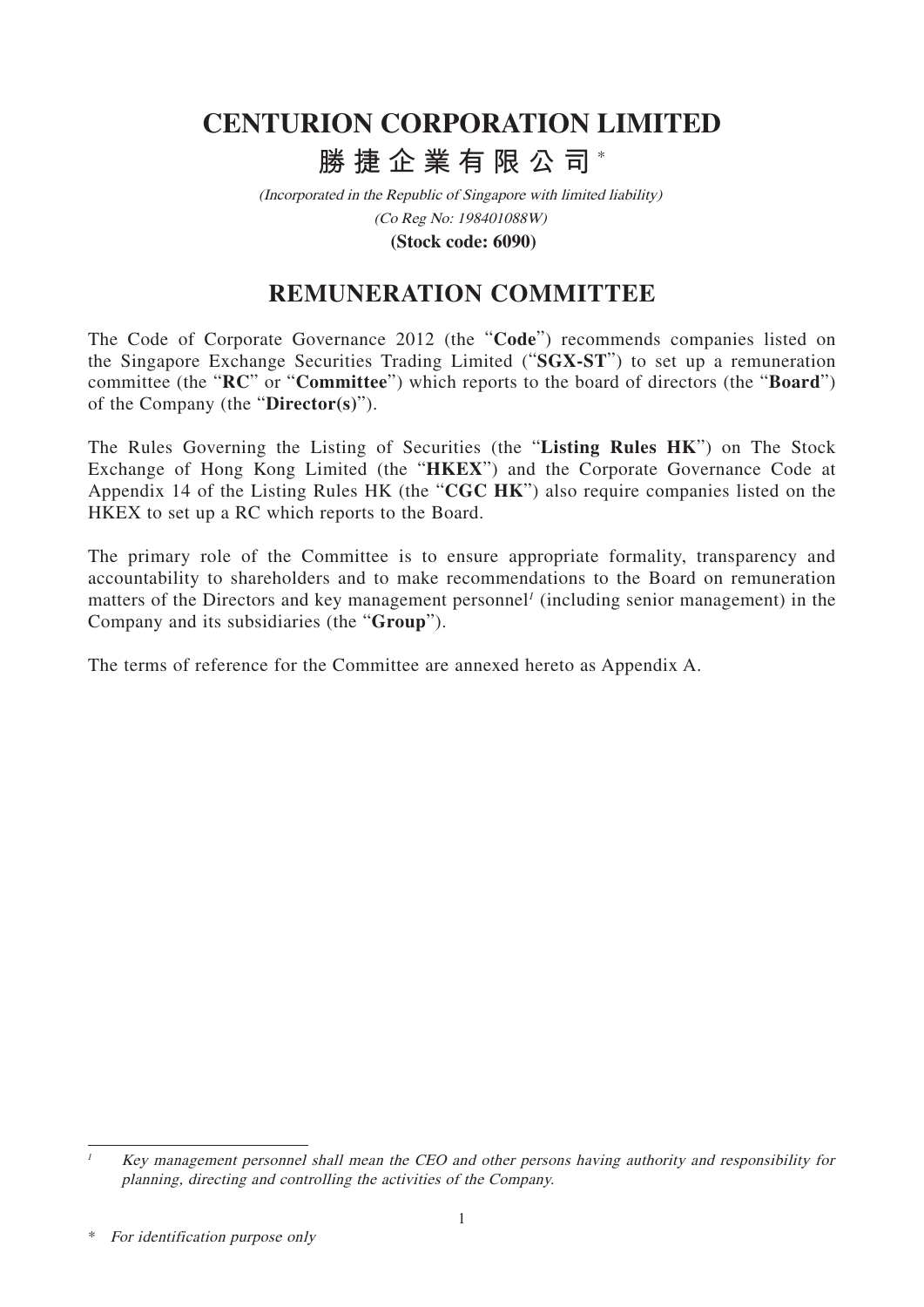# **CENTURION CORPORATION LIMITED 勝捷企業有限公司** \*

(Incorporated in the Republic of Singapore with limited liability) (Co Reg No: 198401088W)

**(Stock code: 6090)**

## **REMUNERATION COMMITTEE**

The Code of Corporate Governance 2012 (the "**Code**") recommends companies listed on the Singapore Exchange Securities Trading Limited ("**SGX-ST**") to set up a remuneration committee (the "**RC**" or "**Committee**") which reports to the board of directors (the "**Board**") of the Company (the "**Director(s)**").

The Rules Governing the Listing of Securities (the "**Listing Rules HK**") on The Stock Exchange of Hong Kong Limited (the "**HKEX**") and the Corporate Governance Code at Appendix 14 of the Listing Rules HK (the "**CGC HK**") also require companies listed on the HKEX to set up a RC which reports to the Board.

The primary role of the Committee is to ensure appropriate formality, transparency and accountability to shareholders and to make recommendations to the Board on remuneration matters of the Directors and key management personnel<sup> $1$ </sup> (including senior management) in the Company and its subsidiaries (the "**Group**").

The terms of reference for the Committee are annexed hereto as Appendix A.

<sup>1</sup> Key management personnel shall mean the CEO and other persons having authority and responsibility for planning, directing and controlling the activities of the Company.

<sup>\*</sup> For identification purpose only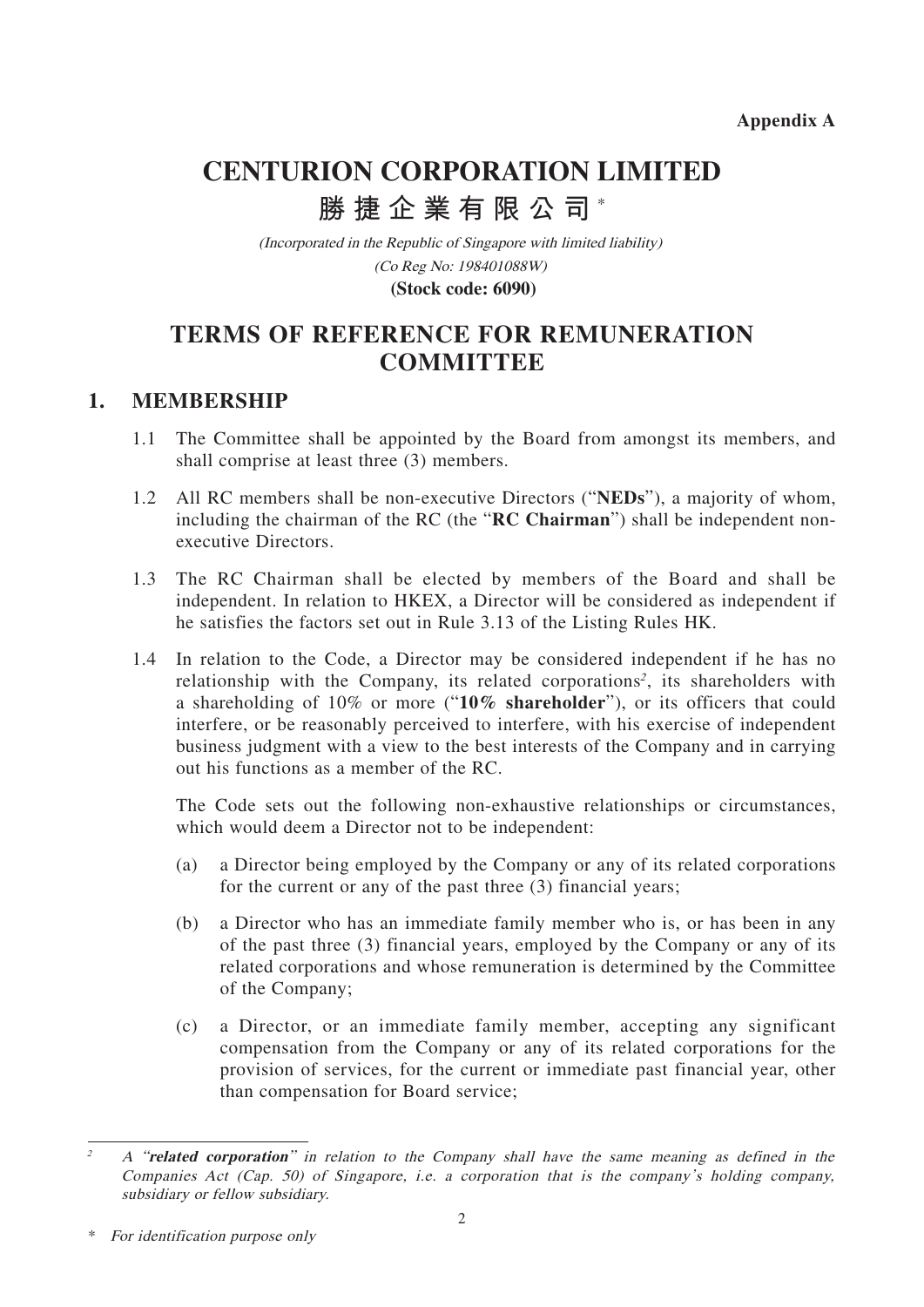**Appendix A**

# **CENTURION CORPORATION LIMITED 勝捷企業有限公司** \*

(Incorporated in the Republic of Singapore with limited liability) (Co Reg No: 198401088W) **(Stock code: 6090)**

## **TERMS OF REFERENCE FOR REMUNERATION COMMITTEE**

## **1. MEMBERSHIP**

- 1.1 The Committee shall be appointed by the Board from amongst its members, and shall comprise at least three (3) members.
- 1.2 All RC members shall be non-executive Directors ("**NEDs**"), a majority of whom, including the chairman of the RC (the "**RC Chairman**") shall be independent nonexecutive Directors.
- 1.3 The RC Chairman shall be elected by members of the Board and shall be independent. In relation to HKEX, a Director will be considered as independent if he satisfies the factors set out in Rule 3.13 of the Listing Rules HK.
- 1.4 In relation to the Code, a Director may be considered independent if he has no relationship with the Company, its related corporations<sup>2</sup>, its shareholders with a shareholding of 10% or more ("**10% shareholder**"), or its officers that could interfere, or be reasonably perceived to interfere, with his exercise of independent business judgment with a view to the best interests of the Company and in carrying out his functions as a member of the RC.

The Code sets out the following non-exhaustive relationships or circumstances, which would deem a Director not to be independent:

- (a) a Director being employed by the Company or any of its related corporations for the current or any of the past three (3) financial years;
- (b) a Director who has an immediate family member who is, or has been in any of the past three (3) financial years, employed by the Company or any of its related corporations and whose remuneration is determined by the Committee of the Company;
- (c) a Director, or an immediate family member, accepting any significant compensation from the Company or any of its related corporations for the provision of services, for the current or immediate past financial year, other than compensation for Board service;

<sup>2</sup> A "**related corporation**" in relation to the Company shall have the same meaning as defined in the Companies Act (Cap. 50) of Singapore, i.e. a corporation that is the company's holding company, subsidiary or fellow subsidiary.

<sup>\*</sup> For identification purpose only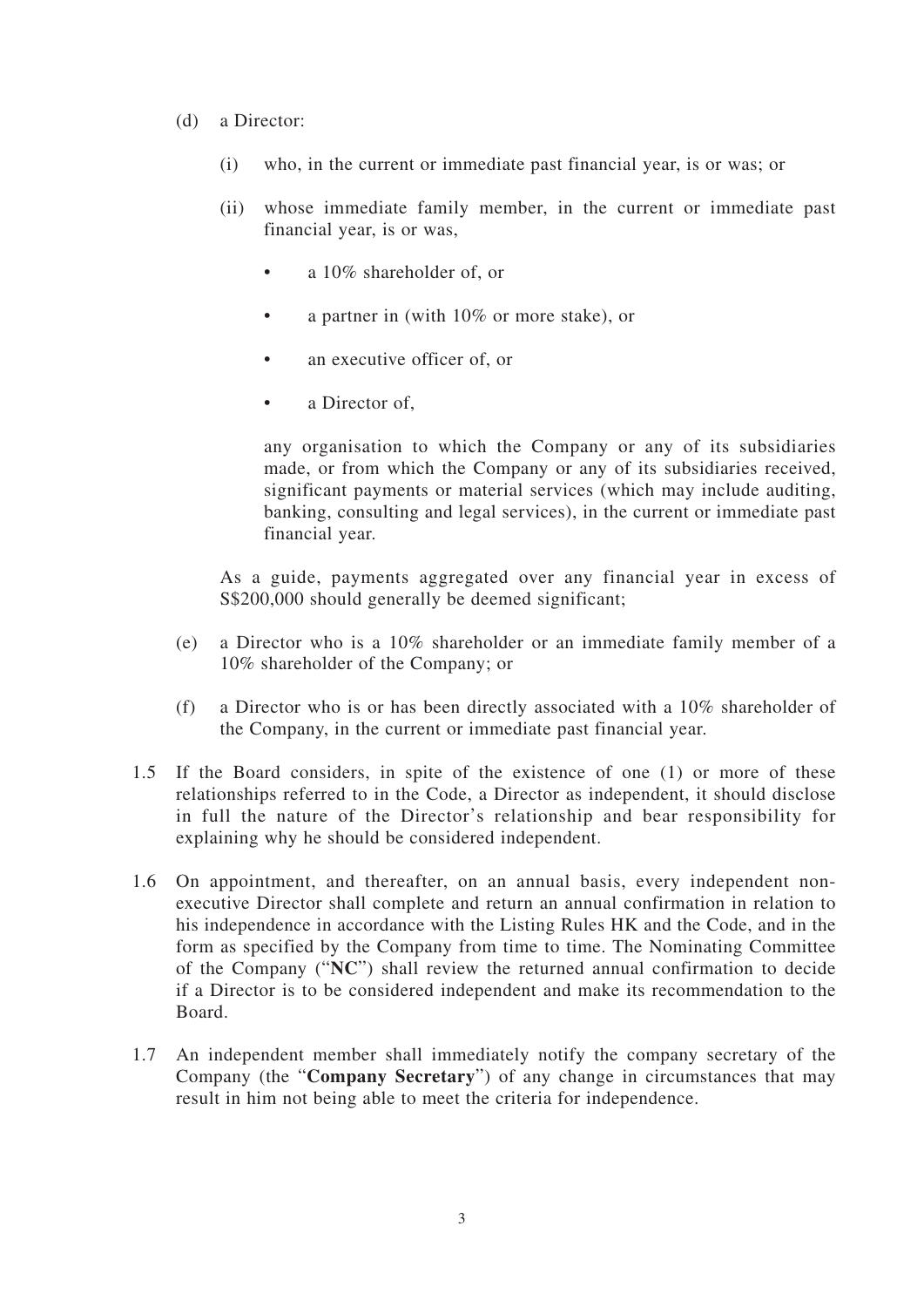- (d) a Director:
	- (i) who, in the current or immediate past financial year, is or was; or
	- (ii) whose immediate family member, in the current or immediate past financial year, is or was,
		- a 10% shareholder of, or
		- a partner in (with 10% or more stake), or
		- an executive officer of, or
		- a Director of.

any organisation to which the Company or any of its subsidiaries made, or from which the Company or any of its subsidiaries received, significant payments or material services (which may include auditing, banking, consulting and legal services), in the current or immediate past financial year.

As a guide, payments aggregated over any financial year in excess of S\$200,000 should generally be deemed significant;

- (e) a Director who is a 10% shareholder or an immediate family member of a 10% shareholder of the Company; or
- (f) a Director who is or has been directly associated with a 10% shareholder of the Company, in the current or immediate past financial year.
- 1.5 If the Board considers, in spite of the existence of one (1) or more of these relationships referred to in the Code, a Director as independent, it should disclose in full the nature of the Director's relationship and bear responsibility for explaining why he should be considered independent.
- 1.6 On appointment, and thereafter, on an annual basis, every independent nonexecutive Director shall complete and return an annual confirmation in relation to his independence in accordance with the Listing Rules HK and the Code, and in the form as specified by the Company from time to time. The Nominating Committee of the Company ("**NC**") shall review the returned annual confirmation to decide if a Director is to be considered independent and make its recommendation to the Board.
- 1.7 An independent member shall immediately notify the company secretary of the Company (the "**Company Secretary**") of any change in circumstances that may result in him not being able to meet the criteria for independence.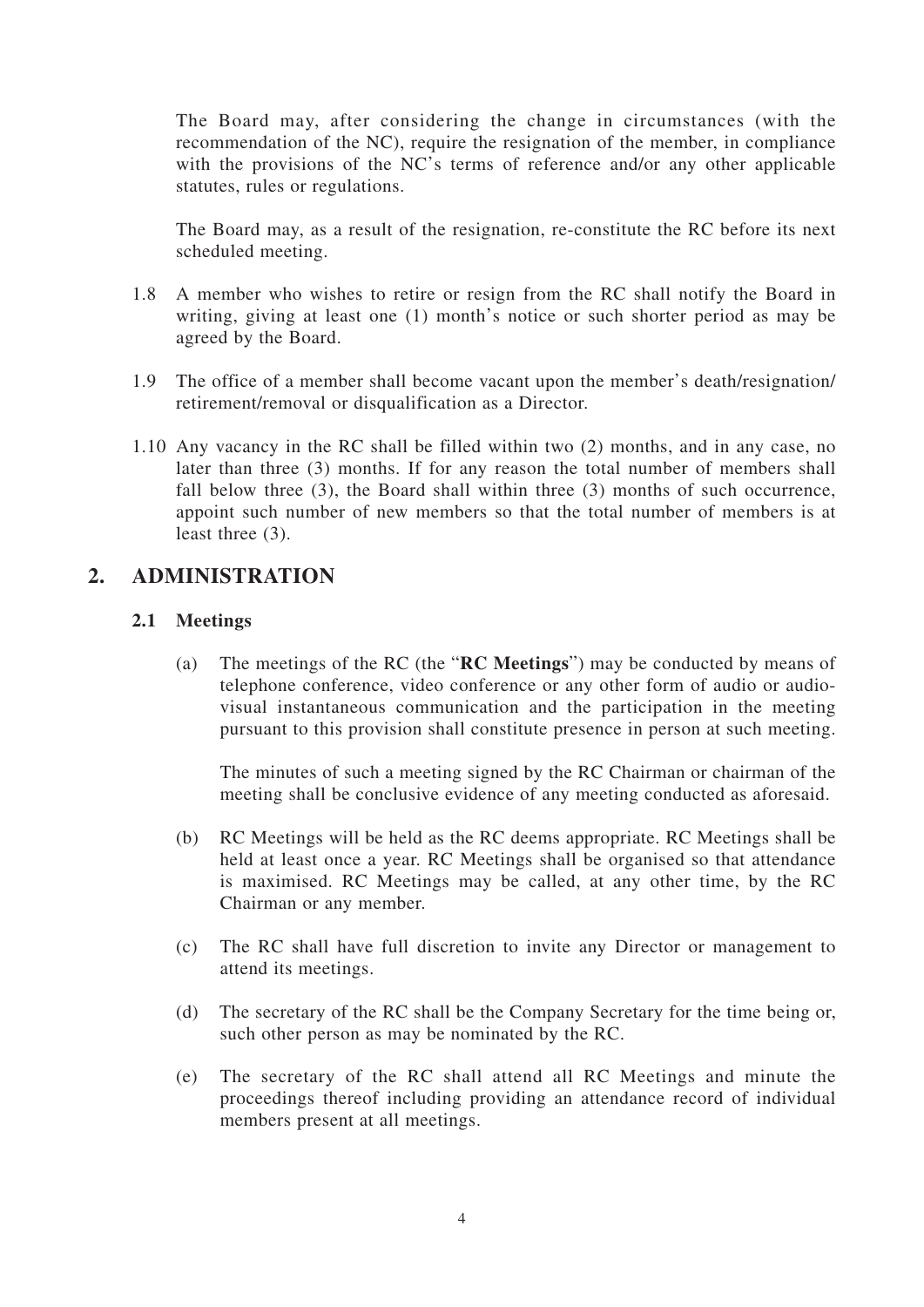The Board may, after considering the change in circumstances (with the recommendation of the NC), require the resignation of the member, in compliance with the provisions of the NC's terms of reference and/or any other applicable statutes, rules or regulations.

The Board may, as a result of the resignation, re-constitute the RC before its next scheduled meeting.

- 1.8 A member who wishes to retire or resign from the RC shall notify the Board in writing, giving at least one (1) month's notice or such shorter period as may be agreed by the Board.
- 1.9 The office of a member shall become vacant upon the member's death/resignation/ retirement/removal or disqualification as a Director.
- 1.10 Any vacancy in the RC shall be filled within two (2) months, and in any case, no later than three (3) months. If for any reason the total number of members shall fall below three (3), the Board shall within three (3) months of such occurrence, appoint such number of new members so that the total number of members is at least three (3).

## **2. ADMINISTRATION**

#### **2.1 Meetings**

(a) The meetings of the RC (the "**RC Meetings**") may be conducted by means of telephone conference, video conference or any other form of audio or audiovisual instantaneous communication and the participation in the meeting pursuant to this provision shall constitute presence in person at such meeting.

The minutes of such a meeting signed by the RC Chairman or chairman of the meeting shall be conclusive evidence of any meeting conducted as aforesaid.

- (b) RC Meetings will be held as the RC deems appropriate. RC Meetings shall be held at least once a year. RC Meetings shall be organised so that attendance is maximised. RC Meetings may be called, at any other time, by the RC Chairman or any member.
- (c) The RC shall have full discretion to invite any Director or management to attend its meetings.
- (d) The secretary of the RC shall be the Company Secretary for the time being or, such other person as may be nominated by the RC.
- (e) The secretary of the RC shall attend all RC Meetings and minute the proceedings thereof including providing an attendance record of individual members present at all meetings.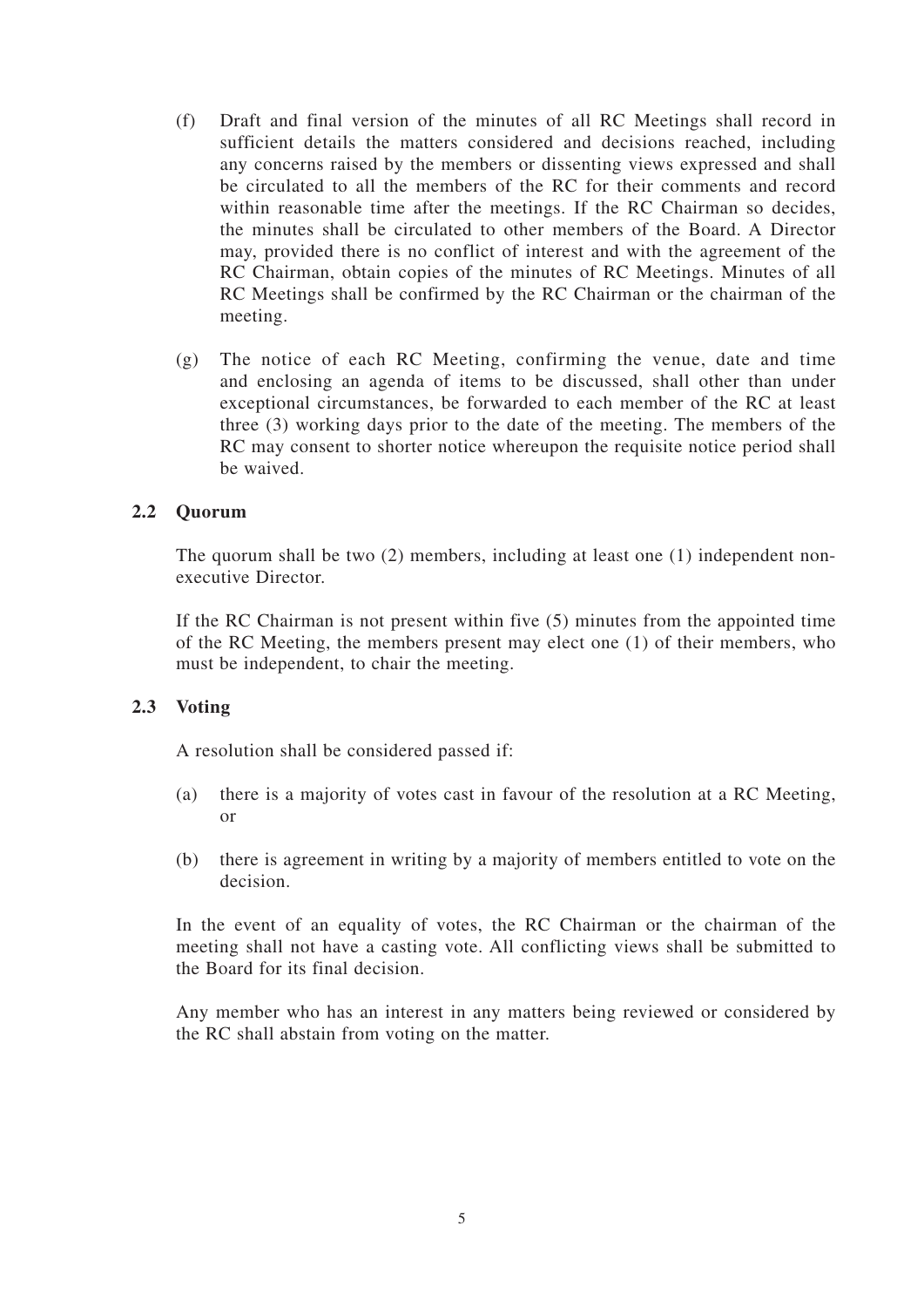- (f) Draft and final version of the minutes of all RC Meetings shall record in sufficient details the matters considered and decisions reached, including any concerns raised by the members or dissenting views expressed and shall be circulated to all the members of the RC for their comments and record within reasonable time after the meetings. If the RC Chairman so decides, the minutes shall be circulated to other members of the Board. A Director may, provided there is no conflict of interest and with the agreement of the RC Chairman, obtain copies of the minutes of RC Meetings. Minutes of all RC Meetings shall be confirmed by the RC Chairman or the chairman of the meeting.
- (g) The notice of each RC Meeting, confirming the venue, date and time and enclosing an agenda of items to be discussed, shall other than under exceptional circumstances, be forwarded to each member of the RC at least three (3) working days prior to the date of the meeting. The members of the RC may consent to shorter notice whereupon the requisite notice period shall be waived.

#### **2.2 Quorum**

The quorum shall be two (2) members, including at least one (1) independent nonexecutive Director.

If the RC Chairman is not present within five (5) minutes from the appointed time of the RC Meeting, the members present may elect one (1) of their members, who must be independent, to chair the meeting.

#### **2.3 Voting**

A resolution shall be considered passed if:

- (a) there is a majority of votes cast in favour of the resolution at a RC Meeting, or
- (b) there is agreement in writing by a majority of members entitled to vote on the decision.

In the event of an equality of votes, the RC Chairman or the chairman of the meeting shall not have a casting vote. All conflicting views shall be submitted to the Board for its final decision.

Any member who has an interest in any matters being reviewed or considered by the RC shall abstain from voting on the matter.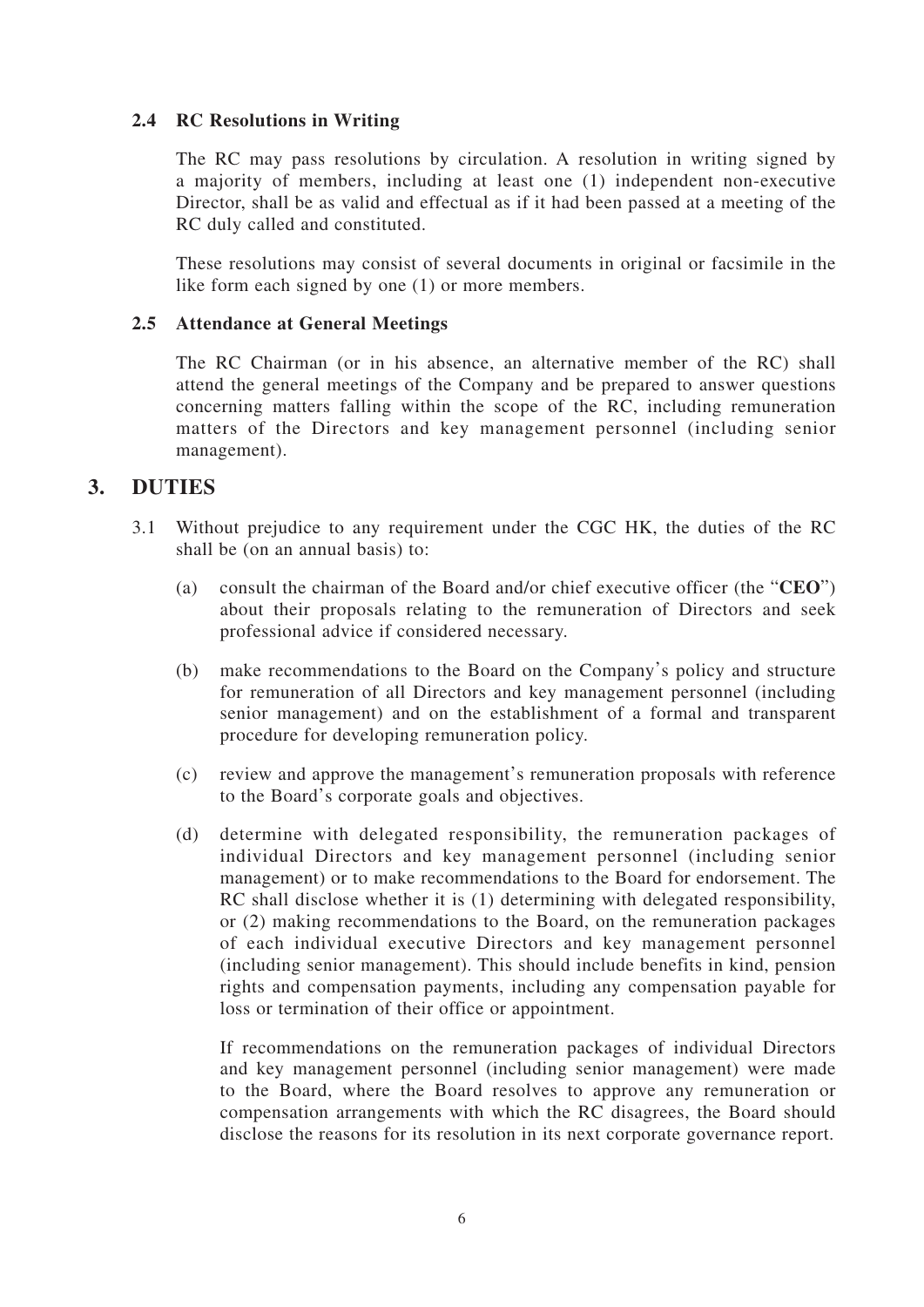#### **2.4 RC Resolutions in Writing**

The RC may pass resolutions by circulation. A resolution in writing signed by a majority of members, including at least one (1) independent non-executive Director, shall be as valid and effectual as if it had been passed at a meeting of the RC duly called and constituted.

These resolutions may consist of several documents in original or facsimile in the like form each signed by one (1) or more members.

#### **2.5 Attendance at General Meetings**

The RC Chairman (or in his absence, an alternative member of the RC) shall attend the general meetings of the Company and be prepared to answer questions concerning matters falling within the scope of the RC, including remuneration matters of the Directors and key management personnel (including senior management).

### **3. DUTIES**

- 3.1 Without prejudice to any requirement under the CGC HK, the duties of the RC shall be (on an annual basis) to:
	- (a) consult the chairman of the Board and/or chief executive officer (the "**CEO**") about their proposals relating to the remuneration of Directors and seek professional advice if considered necessary.
	- (b) make recommendations to the Board on the Company's policy and structure for remuneration of all Directors and key management personnel (including senior management) and on the establishment of a formal and transparent procedure for developing remuneration policy.
	- (c) review and approve the management's remuneration proposals with reference to the Board's corporate goals and objectives.
	- (d) determine with delegated responsibility, the remuneration packages of individual Directors and key management personnel (including senior management) or to make recommendations to the Board for endorsement. The RC shall disclose whether it is (1) determining with delegated responsibility, or (2) making recommendations to the Board, on the remuneration packages of each individual executive Directors and key management personnel (including senior management). This should include benefits in kind, pension rights and compensation payments, including any compensation payable for loss or termination of their office or appointment.

If recommendations on the remuneration packages of individual Directors and key management personnel (including senior management) were made to the Board, where the Board resolves to approve any remuneration or compensation arrangements with which the RC disagrees, the Board should disclose the reasons for its resolution in its next corporate governance report.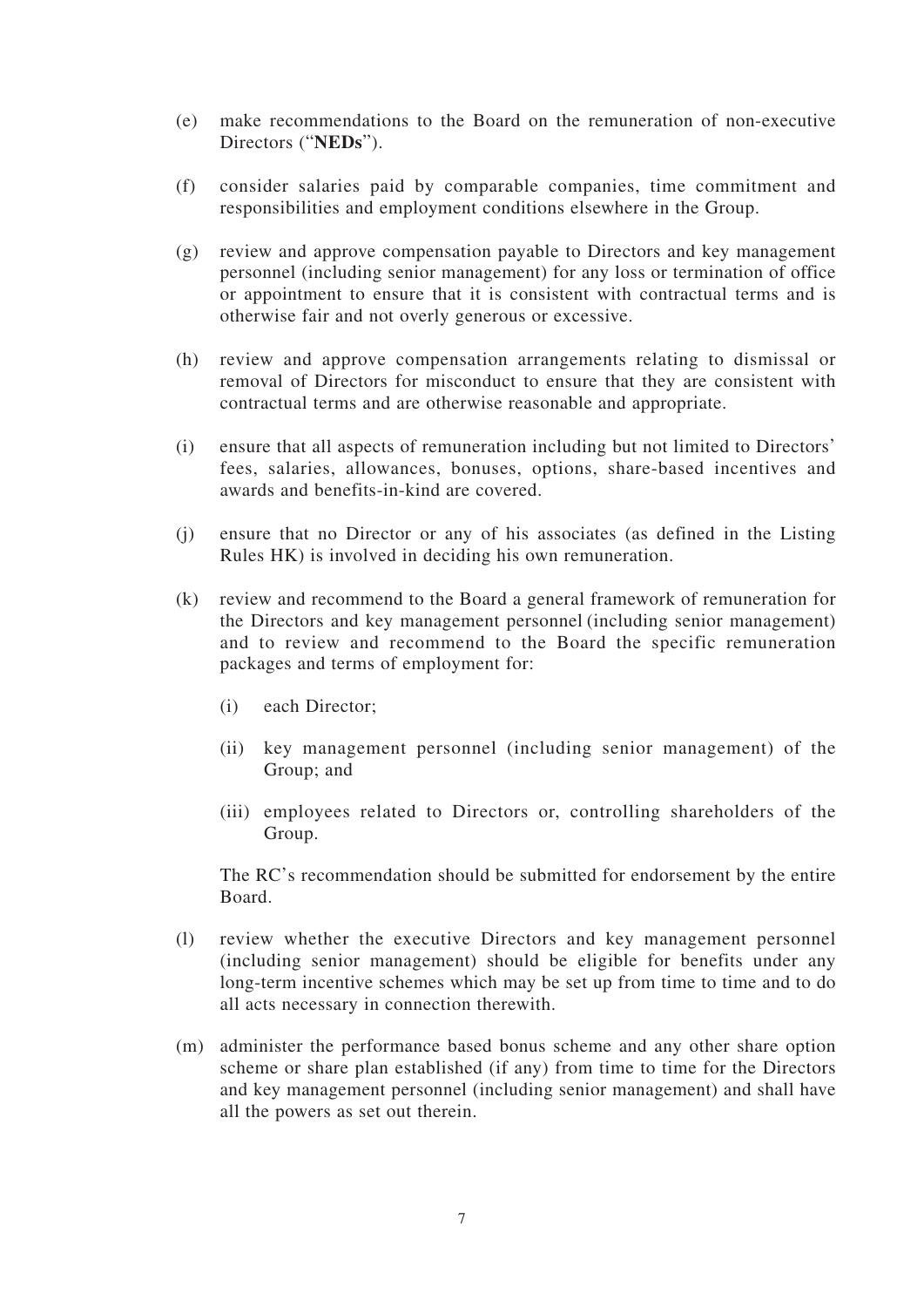- (e) make recommendations to the Board on the remuneration of non-executive Directors ("**NEDs**").
- (f) consider salaries paid by comparable companies, time commitment and responsibilities and employment conditions elsewhere in the Group.
- (g) review and approve compensation payable to Directors and key management personnel (including senior management) for any loss or termination of office or appointment to ensure that it is consistent with contractual terms and is otherwise fair and not overly generous or excessive.
- (h) review and approve compensation arrangements relating to dismissal or removal of Directors for misconduct to ensure that they are consistent with contractual terms and are otherwise reasonable and appropriate.
- (i) ensure that all aspects of remuneration including but not limited to Directors' fees, salaries, allowances, bonuses, options, share-based incentives and awards and benefits-in-kind are covered.
- (j) ensure that no Director or any of his associates (as defined in the Listing Rules HK) is involved in deciding his own remuneration.
- (k) review and recommend to the Board a general framework of remuneration for the Directors and key management personnel (including senior management) and to review and recommend to the Board the specific remuneration packages and terms of employment for:
	- (i) each Director;
	- (ii) key management personnel (including senior management) of the Group; and
	- (iii) employees related to Directors or, controlling shareholders of the Group.

The RC's recommendation should be submitted for endorsement by the entire Board.

- (l) review whether the executive Directors and key management personnel (including senior management) should be eligible for benefits under any long-term incentive schemes which may be set up from time to time and to do all acts necessary in connection therewith.
- (m) administer the performance based bonus scheme and any other share option scheme or share plan established (if any) from time to time for the Directors and key management personnel (including senior management) and shall have all the powers as set out therein.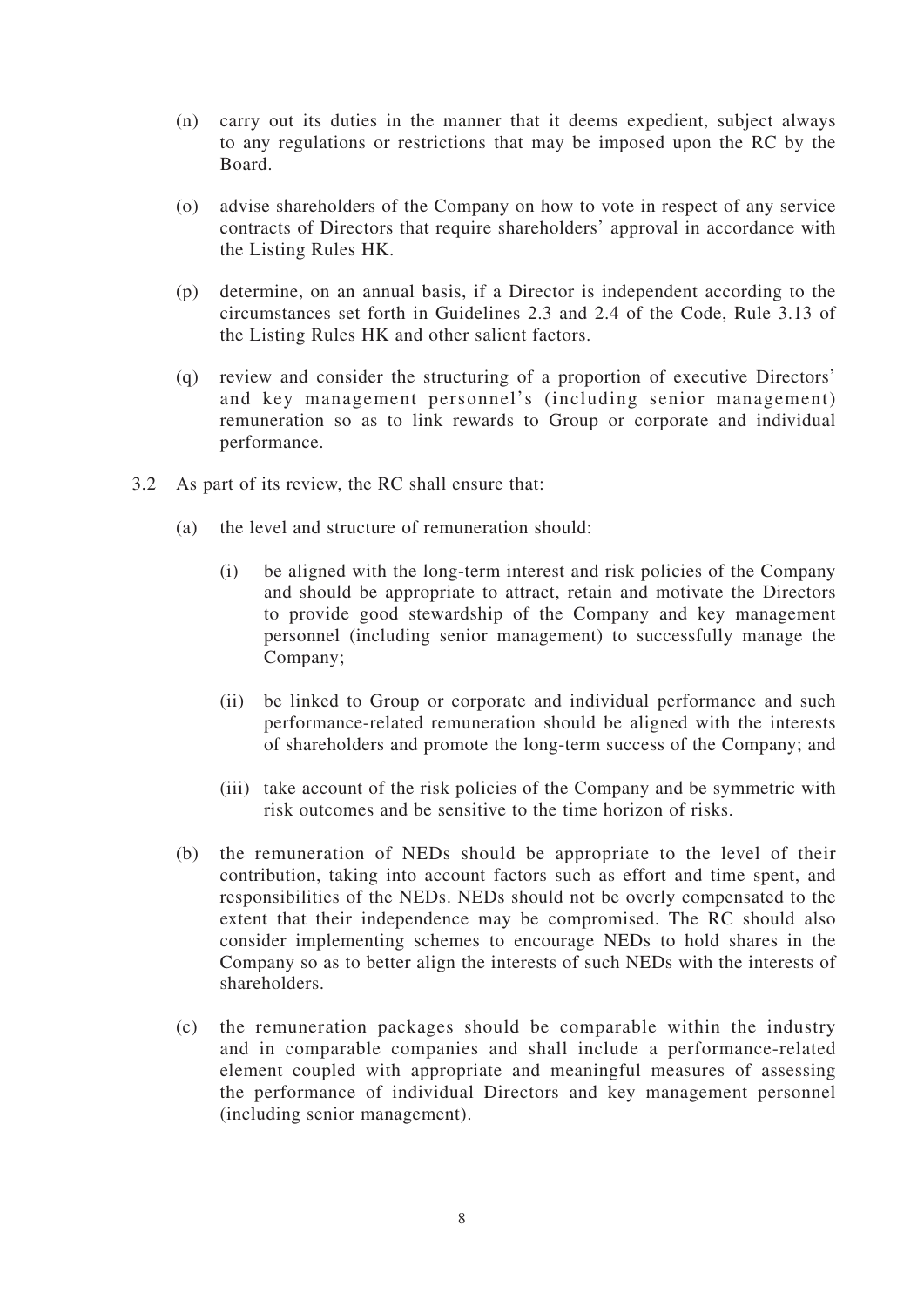- (n) carry out its duties in the manner that it deems expedient, subject always to any regulations or restrictions that may be imposed upon the RC by the Board.
- (o) advise shareholders of the Company on how to vote in respect of any service contracts of Directors that require shareholders' approval in accordance with the Listing Rules HK.
- (p) determine, on an annual basis, if a Director is independent according to the circumstances set forth in Guidelines 2.3 and 2.4 of the Code, Rule 3.13 of the Listing Rules HK and other salient factors.
- (q) review and consider the structuring of a proportion of executive Directors' and key management personnel's (including senior management) remuneration so as to link rewards to Group or corporate and individual performance.
- 3.2 As part of its review, the RC shall ensure that:
	- (a) the level and structure of remuneration should:
		- (i) be aligned with the long-term interest and risk policies of the Company and should be appropriate to attract, retain and motivate the Directors to provide good stewardship of the Company and key management personnel (including senior management) to successfully manage the Company;
		- (ii) be linked to Group or corporate and individual performance and such performance-related remuneration should be aligned with the interests of shareholders and promote the long-term success of the Company; and
		- (iii) take account of the risk policies of the Company and be symmetric with risk outcomes and be sensitive to the time horizon of risks.
	- (b) the remuneration of NEDs should be appropriate to the level of their contribution, taking into account factors such as effort and time spent, and responsibilities of the NEDs. NEDs should not be overly compensated to the extent that their independence may be compromised. The RC should also consider implementing schemes to encourage NEDs to hold shares in the Company so as to better align the interests of such NEDs with the interests of shareholders.
	- (c) the remuneration packages should be comparable within the industry and in comparable companies and shall include a performance-related element coupled with appropriate and meaningful measures of assessing the performance of individual Directors and key management personnel (including senior management).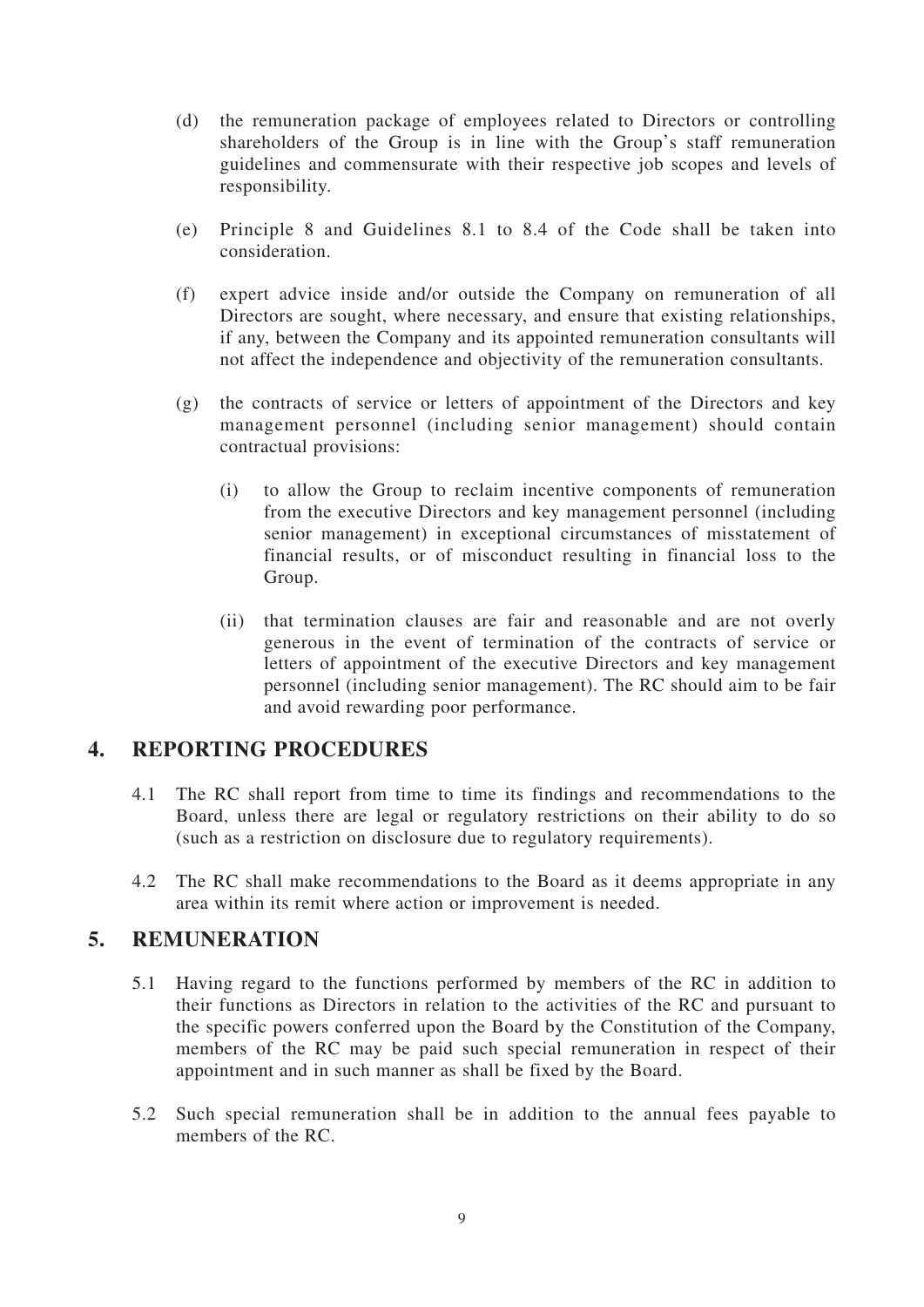- (d) the remuneration package of employees related to Directors or controlling shareholders of the Group is in line with the Group's staff remuneration guidelines and commensurate with their respective job scopes and levels of responsibility.
- (e) Principle 8 and Guidelines 8.1 to 8.4 of the Code shall be taken into consideration.
- (f) expert advice inside and/or outside the Company on remuneration of all Directors are sought, where necessary, and ensure that existing relationships, if any, between the Company and its appointed remuneration consultants will not affect the independence and objectivity of the remuneration consultants.
- (g) the contracts of service or letters of appointment of the Directors and key management personnel (including senior management) should contain contractual provisions:
	- (i) to allow the Group to reclaim incentive components of remuneration from the executive Directors and key management personnel (including senior management) in exceptional circumstances of misstatement of financial results, or of misconduct resulting in financial loss to the Group.
	- (ii) that termination clauses are fair and reasonable and are not overly generous in the event of termination of the contracts of service or letters of appointment of the executive Directors and key management personnel (including senior management). The RC should aim to be fair and avoid rewarding poor performance.

## **4. REPORTING PROCEDURES**

- 4.1 The RC shall report from time to time its findings and recommendations to the Board, unless there are legal or regulatory restrictions on their ability to do so (such as a restriction on disclosure due to regulatory requirements).
- 4.2 The RC shall make recommendations to the Board as it deems appropriate in any area within its remit where action or improvement is needed.

## **5. REMUNERATION**

- 5.1 Having regard to the functions performed by members of the RC in addition to their functions as Directors in relation to the activities of the RC and pursuant to the specific powers conferred upon the Board by the Constitution of the Company, members of the RC may be paid such special remuneration in respect of their appointment and in such manner as shall be fixed by the Board.
- 5.2 Such special remuneration shall be in addition to the annual fees payable to members of the RC.